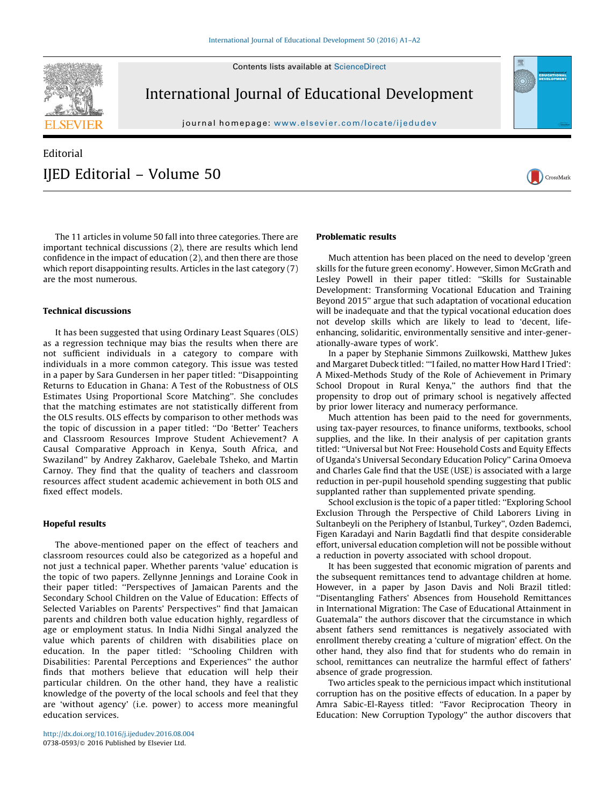Contents lists available at [ScienceDirect](http://www.sciencedirect.com/science/journal/07380593)



International Journal of Educational Development

journal homepage: <www.elsevier.com/locate/ijedudev>

## Editorial IJED Editorial – Volume 50





The 11 articles in volume 50 fall into three categories. There are important technical discussions (2), there are results which lend confidence in the impact of education (2), and then there are those which report disappointing results. Articles in the last category (7) are the most numerous.

## Technical discussions

It has been suggested that using Ordinary Least Squares (OLS) as a regression technique may bias the results when there are not sufficient individuals in a category to compare with individuals in a more common category. This issue was tested in a paper by Sara Gundersen in her paper titled: ''Disappointing Returns to Education in Ghana: A Test of the Robustness of OLS Estimates Using Proportional Score Matching''. She concludes that the matching estimates are not statistically different from the OLS results. OLS effects by comparison to other methods was the topic of discussion in a paper titled: ''Do 'Better' Teachers and Classroom Resources Improve Student Achievement? A Causal Comparative Approach in Kenya, South Africa, and Swaziland'' by Andrey Zakharov, Gaelebale Tsheko, and Martin Carnoy. They find that the quality of teachers and classroom resources affect student academic achievement in both OLS and fixed effect models.

## Hopeful results

The above-mentioned paper on the effect of teachers and classroom resources could also be categorized as a hopeful and not just a technical paper. Whether parents 'value' education is the topic of two papers. Zellynne Jennings and Loraine Cook in their paper titled: ''Perspectives of Jamaican Parents and the Secondary School Children on the Value of Education: Effects of Selected Variables on Parents' Perspectives'' find that Jamaican parents and children both value education highly, regardless of age or employment status. In India Nidhi Singal analyzed the value which parents of children with disabilities place on education. In the paper titled: ''Schooling Children with Disabilities: Parental Perceptions and Experiences'' the author finds that mothers believe that education will help their particular children. On the other hand, they have a realistic knowledge of the poverty of the local schools and feel that they are 'without agency' (i.e. power) to access more meaningful education services.

## Problematic results

Much attention has been placed on the need to develop 'green skills for the future green economy'. However, Simon McGrath and Lesley Powell in their paper titled: ''Skills for Sustainable Development: Transforming Vocational Education and Training Beyond 2015'' argue that such adaptation of vocational education will be inadequate and that the typical vocational education does not develop skills which are likely to lead to 'decent, lifeenhancing, solidaritic, environmentally sensitive and inter-generationally-aware types of work'.

In a paper by Stephanie Simmons Zuilkowski, Matthew Jukes and Margaret Dubeck titled: '''I failed, no matter How Hard I Tried': A Mixed-Methods Study of the Role of Achievement in Primary School Dropout in Rural Kenya," the authors find that the propensity to drop out of primary school is negatively affected by prior lower literacy and numeracy performance.

Much attention has been paid to the need for governments, using tax-payer resources, to finance uniforms, textbooks, school supplies, and the like. In their analysis of per capitation grants titled: ''Universal but Not Free: Household Costs and Equity Effects of Uganda's Universal Secondary Education Policy'' Carina Omoeva and Charles Gale find that the USE (USE) is associated with a large reduction in per-pupil household spending suggesting that public supplanted rather than supplemented private spending.

School exclusion is the topic of a paper titled: ''Exploring School Exclusion Through the Perspective of Child Laborers Living in Sultanbeyli on the Periphery of Istanbul, Turkey'', Ozden Bademci, Figen Karadayi and Narin Bagdatli find that despite considerable effort, universal education completion will not be possible without a reduction in poverty associated with school dropout.

It has been suggested that economic migration of parents and the subsequent remittances tend to advantage children at home. However, in a paper by Jason Davis and Noli Brazil titled: ''Disentangling Fathers' Absences from Household Remittances in International Migration: The Case of Educational Attainment in Guatemala'' the authors discover that the circumstance in which absent fathers send remittances is negatively associated with enrollment thereby creating a 'culture of migration' effect. On the other hand, they also find that for students who do remain in school, remittances can neutralize the harmful effect of fathers' absence of grade progression.

Two articles speak to the pernicious impact which institutional corruption has on the positive effects of education. In a paper by Amra Sabic-El-Rayess titled: ''Favor Reciprocation Theory in Education: New Corruption Typology'' the author discovers that